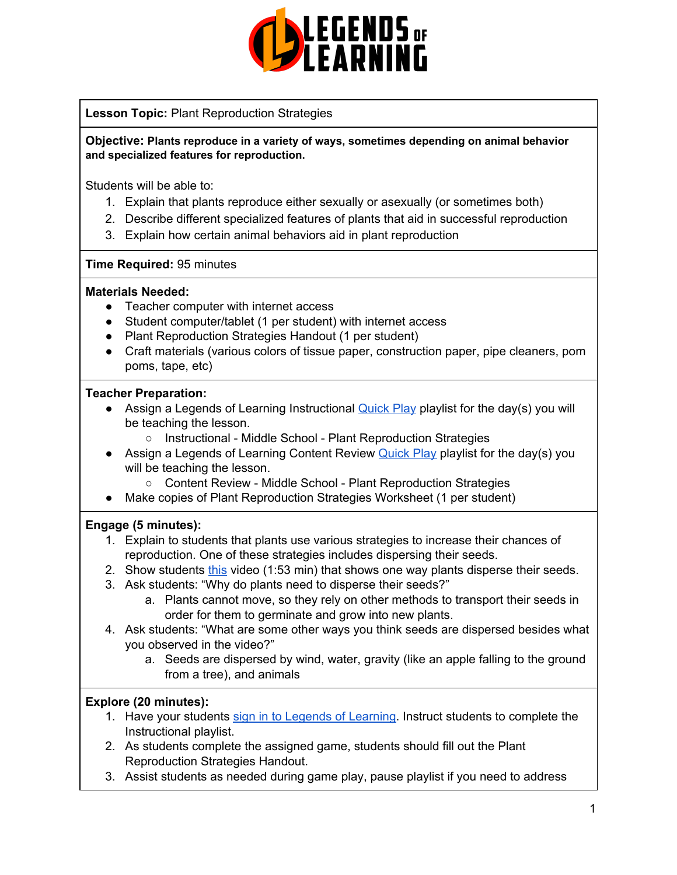

# **Lesson Topic:** Plant Reproduction Strategies

**Objective: Plants reproduce in a variety of ways, sometimes depending on animal behavior and specialized features for reproduction.**

Students will be able to:

- 1. Explain that plants reproduce either sexually or asexually (or sometimes both)
- 2. Describe different specialized features of plants that aid in successful reproduction
- 3. Explain how certain animal behaviors aid in plant reproduction

#### **Time Required:** 95 minutes

#### **Materials Needed:**

- Teacher computer with internet access
- Student computer/tablet (1 per student) with internet access
- Plant Reproduction Strategies Handout (1 per student)
- Craft materials (various colors of tissue paper, construction paper, pipe cleaners, pom poms, tape, etc)

#### **Teacher Preparation:**

- Assign a Legends of Learning Instructional [Quick](https://intercom.help/legends-of-learning/en/articles/2701866-assigning-a-quick-play-playlist) Play playlist for the day(s) you will be teaching the lesson.
	- Instructional Middle School Plant Reproduction Strategies
- Assign a Legends of Learning Content Review **[Quick](https://intercom.help/legends-of-learning/en/articles/2701866-assigning-a-quick-play-playlist) Play playlist for the day(s)** you will be teaching the lesson.
	- Content Review Middle School Plant Reproduction Strategies
- Make copies of Plant Reproduction Strategies Worksheet (1 per student)

## **Engage (5 minutes):**

- 1. Explain to students that plants use various strategies to increase their chances of reproduction. One of these strategies includes dispersing their seeds.
- 2. Show students [this](https://www.youtube.com/watch?v=OB0P3mx_lxY) video (1:53 min) that shows one way plants disperse their seeds.
- 3. Ask students: "Why do plants need to disperse their seeds?"
	- a. Plants cannot move, so they rely on other methods to transport their seeds in order for them to germinate and grow into new plants.
- 4. Ask students: "What are some other ways you think seeds are dispersed besides what you observed in the video?"
	- a. Seeds are dispersed by wind, water, gravity (like an apple falling to the ground from a tree), and animals

## **Explore (20 minutes):**

- 1. Have your students sign in to Legends of [Learning](https://intercom.help/legends-of-learning/en/articles/2154920-students-joining-a-playlist). Instruct students to complete the Instructional playlist.
- 2. As students complete the assigned game, students should fill out the Plant Reproduction Strategies Handout.
- 3. Assist students as needed during game play, pause playlist if you need to address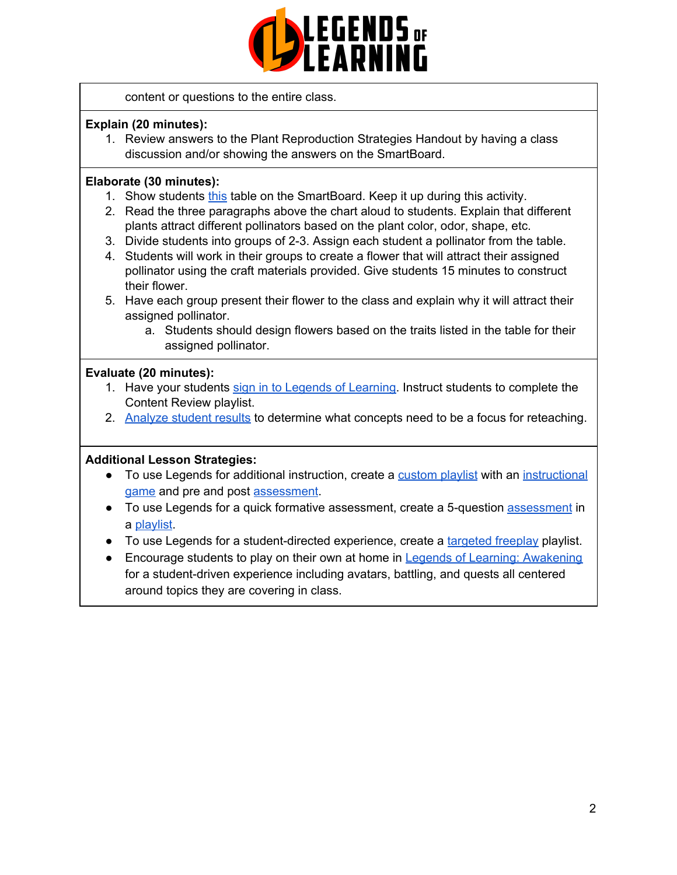

content or questions to the entire class.

# **Explain (20 minutes):**

1. Review answers to the Plant Reproduction Strategies Handout by having a class discussion and/or showing the answers on the SmartBoard.

# **Elaborate (30 minutes):**

- 1. Show students [this](https://www.fs.fed.us/wildflowers/pollinators/What_is_Pollination/syndromes.shtml) table on the SmartBoard. Keep it up during this activity.
- 2. Read the three paragraphs above the chart aloud to students. Explain that different plants attract different pollinators based on the plant color, odor, shape, etc.
- 3. Divide students into groups of 2-3. Assign each student a pollinator from the table.
- 4. Students will work in their groups to create a flower that will attract their assigned pollinator using the craft materials provided. Give students 15 minutes to construct their flower.
- 5. Have each group present their flower to the class and explain why it will attract their assigned pollinator.
	- a. Students should design flowers based on the traits listed in the table for their assigned pollinator.

# **Evaluate (20 minutes):**

- 1. Have your students sign in to Legends of [Learning](https://intercom.help/legends-of-learning/en/articles/2154920-students-joining-a-playlist). Instruct students to complete the Content Review playlist.
- 2. [Analyze](https://intercom.help/legends-of-learning/en/articles/2154918-tracking-student-progress-and-performance) student results to determine what concepts need to be a focus for reteaching.

## **Additional Lesson Strategies:**

- To use Legends for additional instruction, create a [custom](https://intercom.help/legends-of-learning/en/articles/2154910-creating-a-playlist) playlist with an [instructional](https://intercom.help/legends-of-learning/en/articles/3505828-types-of-games) [game](https://intercom.help/legends-of-learning/en/articles/3505828-types-of-games) and pre and post [assessment](https://intercom.help/legends-of-learning/en/articles/2154913-adding-assessments-to-a-playlist).
- To use Legends for a quick formative [assessment](https://intercom.help/legends-of-learning/en/articles/2154913-adding-assessments-to-a-playlist), create a 5-question assessment in a [playlist](https://intercom.help/legends-of-learning/en/articles/2154910-creating-a-playlist).
- To use Legends for a student-directed experience, create a [targeted](https://intercom.help/legends-of-learning/en/articles/3340814-targeted-freeplay) freeplay playlist.
- Encourage students to play on their own at home in Legends of Learning: [Awakening](https://intercom.help/legends-of-learning/en/articles/2425490-legends-of-learning-awakening) for a student-driven experience including avatars, battling, and quests all centered around topics they are covering in class.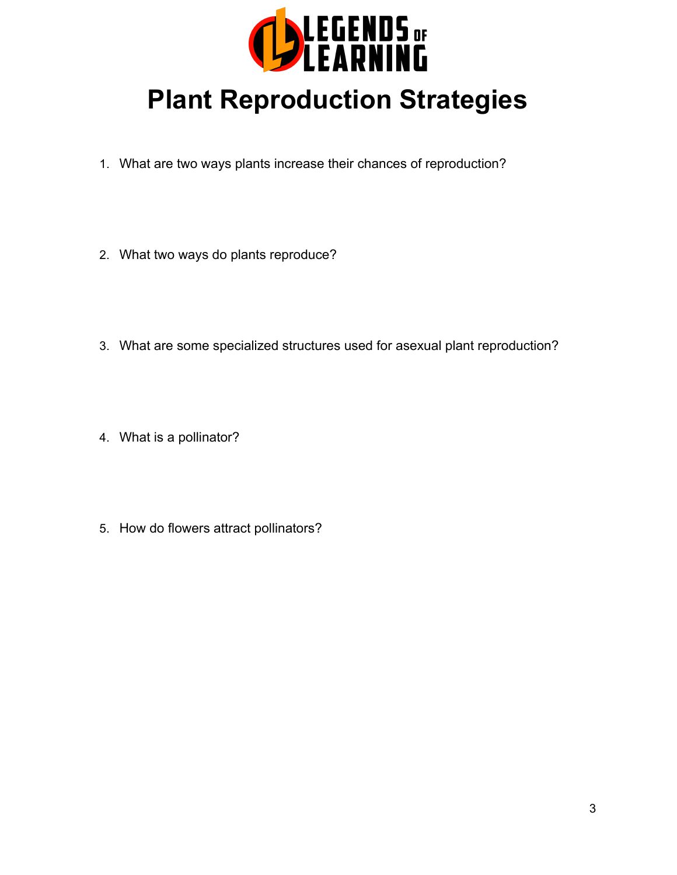

# **Plant Reproduction Strategies**

- 1. What are two ways plants increase their chances of reproduction?
- 2. What two ways do plants reproduce?
- 3. What are some specialized structures used for asexual plant reproduction?
- 4. What is a pollinator?
- 5. How do flowers attract pollinators?